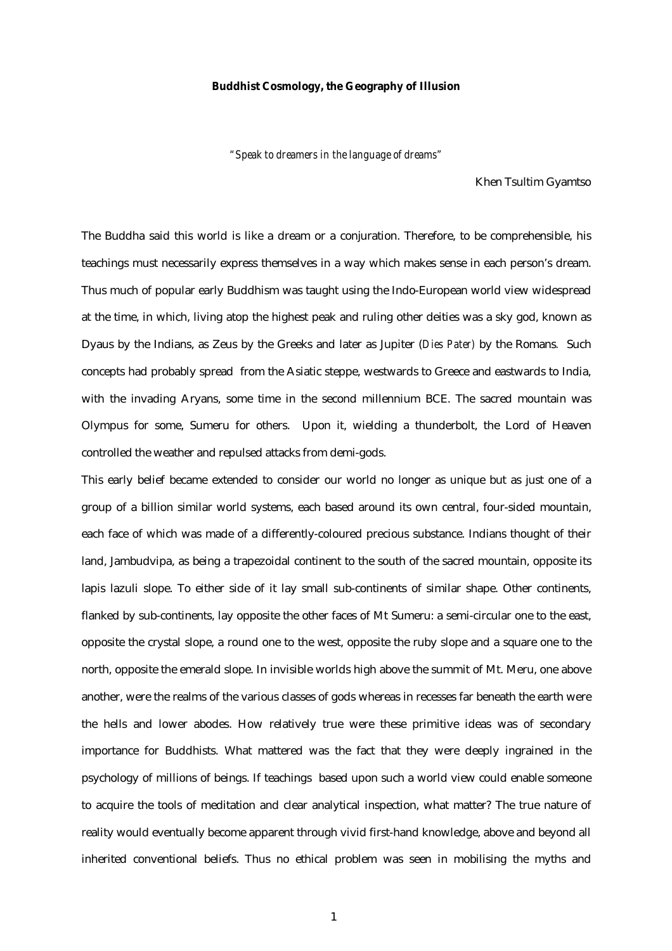## **Buddhist Cosmology, the Geography of Illusion**

*"Speak to dreamers in the language of dreams"*

Khen Tsultim Gyamtso

The Buddha said this world is like a dream or a conjuration. Therefore, to be comprehensible, his teachings must necessarily express themselves in a way which makes sense in each person's dream. Thus much of popular early Buddhism was taught using the Indo-European world view widespread at the time, in which, living atop the highest peak and ruling other deities was a sky god, known as Dyaus by the Indians, as Zeus by the Greeks and later as Jupiter (*Dies Pater)* by the Romans*.* Such concepts had probably spread from the Asiatic steppe, westwards to Greece and eastwards to India, with the invading Aryans, some time in the second millennium BCE. The sacred mountain was Olympus for some, Sumeru for others. Upon it, wielding a thunderbolt, the Lord of Heaven controlled the weather and repulsed attacks from demi-gods.

This early belief became extended to consider our world no longer as unique but as just one of a group of a billion similar world systems, each based around its own central, four-sided mountain, each face of which was made of a differently-coloured precious substance. Indians thought of their land, Jambudvipa, as being a trapezoidal continent to the south of the sacred mountain, opposite its lapis lazuli slope. To either side of it lay small sub-continents of similar shape. Other continents, flanked by sub-continents, lay opposite the other faces of Mt Sumeru: a semi-circular one to the east, opposite the crystal slope, a round one to the west, opposite the ruby slope and a square one to the north, opposite the emerald slope. In invisible worlds high above the summit of Mt. Meru, one above another, were the realms of the various classes of gods whereas in recesses far beneath the earth were the hells and lower abodes. How relatively true were these primitive ideas was of secondary importance for Buddhists. What mattered was the fact that they were deeply ingrained in the psychology of millions of beings. If teachings based upon such a world view could enable someone to acquire the tools of meditation and clear analytical inspection, what matter? The true nature of reality would eventually become apparent through vivid first-hand knowledge, above and beyond all inherited conventional beliefs. Thus no ethical problem was seen in mobilising the myths and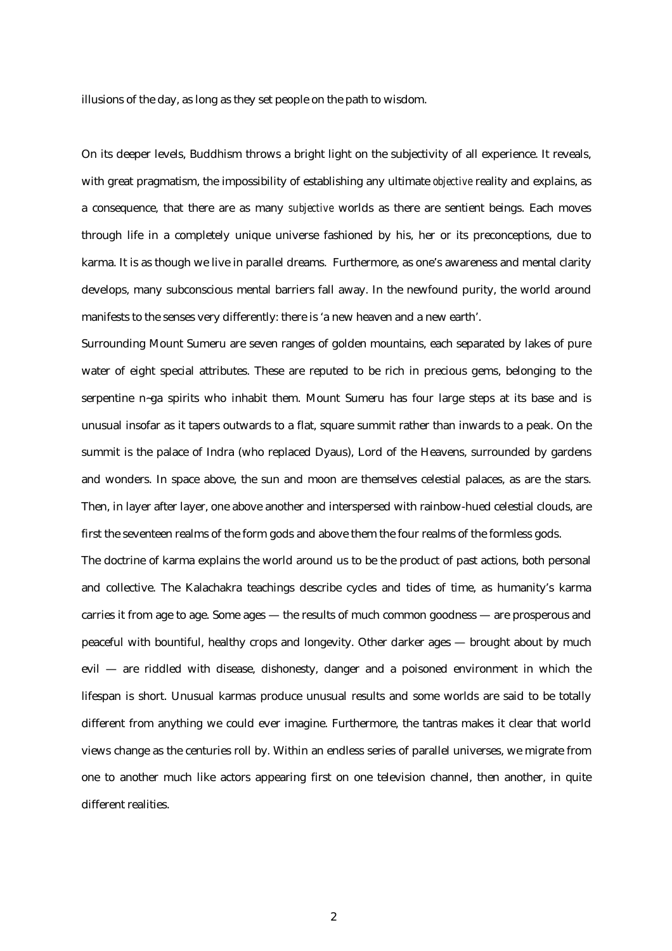illusions of the day, as long as they set people on the path to wisdom.

On its deeper levels, Buddhism throws a bright light on the subjectivity of all experience. It reveals, with great pragmatism, the impossibility of establishing any ultimate *objective* reality and explains, as a consequence, that there are as many *subjective* worlds as there are sentient beings. Each moves through life in a completely unique universe fashioned by his, her or its preconceptions, due to karma. It is as though we live in parallel dreams. Furthermore, as one's awareness and mental clarity develops, many subconscious mental barriers fall away. In the newfound purity, the world around manifests to the senses very differently: there is 'a new heaven and a new earth'.

Surrounding Mount Sumeru are seven ranges of golden mountains, each separated by lakes of pure water of eight special attributes. These are reputed to be rich in precious gems, belonging to the serpentine n~ga spirits who inhabit them. Mount Sumeru has four large steps at its base and is unusual insofar as it tapers outwards to a flat, square summit rather than inwards to a peak. On the summit is the palace of Indra (who replaced Dyaus), Lord of the Heavens, surrounded by gardens and wonders. In space above, the sun and moon are themselves celestial palaces, as are the stars. Then, in layer after layer, one above another and interspersed with rainbow-hued celestial clouds, are first the seventeen realms of the form gods and above them the four realms of the formless gods.

The doctrine of karma explains the world around us to be the product of past actions, both personal and collective. The Kalachakra teachings describe cycles and tides of time, as humanity's karma carries it from age to age. Some ages — the results of much common goodness — are prosperous and peaceful with bountiful, healthy crops and longevity. Other darker ages — brought about by much evil — are riddled with disease, dishonesty, danger and a poisoned environment in which the lifespan is short. Unusual karmas produce unusual results and some worlds are said to be totally different from anything we could ever imagine. Furthermore, the tantras makes it clear that world views change as the centuries roll by. Within an endless series of parallel universes, we migrate from one to another much like actors appearing first on one television channel, then another, in quite different realities.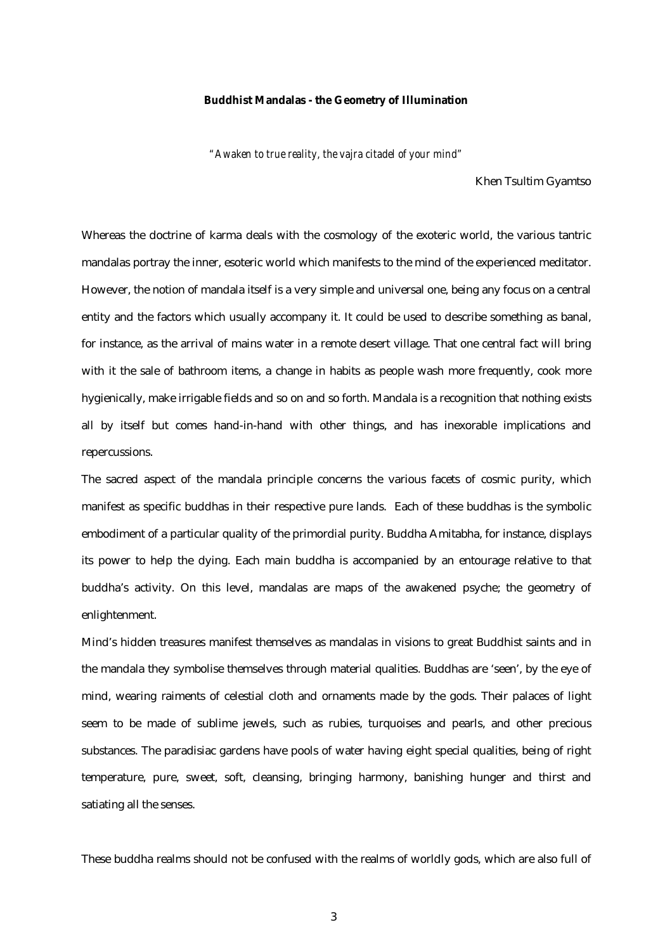## **Buddhist Mandalas - the Geometry of Illumination**

*"Awaken to true reality, the vajra citadel of your mind"*

Khen Tsultim Gyamtso

Whereas the doctrine of karma deals with the cosmology of the exoteric world, the various tantric mandalas portray the inner, esoteric world which manifests to the mind of the experienced meditator. However, the notion of mandala itself is a very simple and universal one, being any focus on a central entity and the factors which usually accompany it. It could be used to describe something as banal, for instance, as the arrival of mains water in a remote desert village. That one central fact will bring with it the sale of bathroom items, a change in habits as people wash more frequently, cook more hygienically, make irrigable fields and so on and so forth. Mandala is a recognition that nothing exists all by itself but comes hand-in-hand with other things, and has inexorable implications and repercussions.

The sacred aspect of the mandala principle concerns the various facets of cosmic purity, which manifest as specific buddhas in their respective pure lands. Each of these buddhas is the symbolic embodiment of a particular quality of the primordial purity. Buddha Amitabha, for instance, displays its power to help the dying. Each main buddha is accompanied by an entourage relative to that buddha's activity. On this level, mandalas are maps of the awakened psyche; the geometry of enlightenment.

Mind's hidden treasures manifest themselves as mandalas in visions to great Buddhist saints and in the mandala they symbolise themselves through material qualities. Buddhas are 'seen', by the eye of mind, wearing raiments of celestial cloth and ornaments made by the gods. Their palaces of light seem to be made of sublime jewels, such as rubies, turquoises and pearls, and other precious substances. The paradisiac gardens have pools of water having eight special qualities, being of right temperature, pure, sweet, soft, cleansing, bringing harmony, banishing hunger and thirst and satiating all the senses.

These buddha realms should not be confused with the realms of worldly gods, which are also full of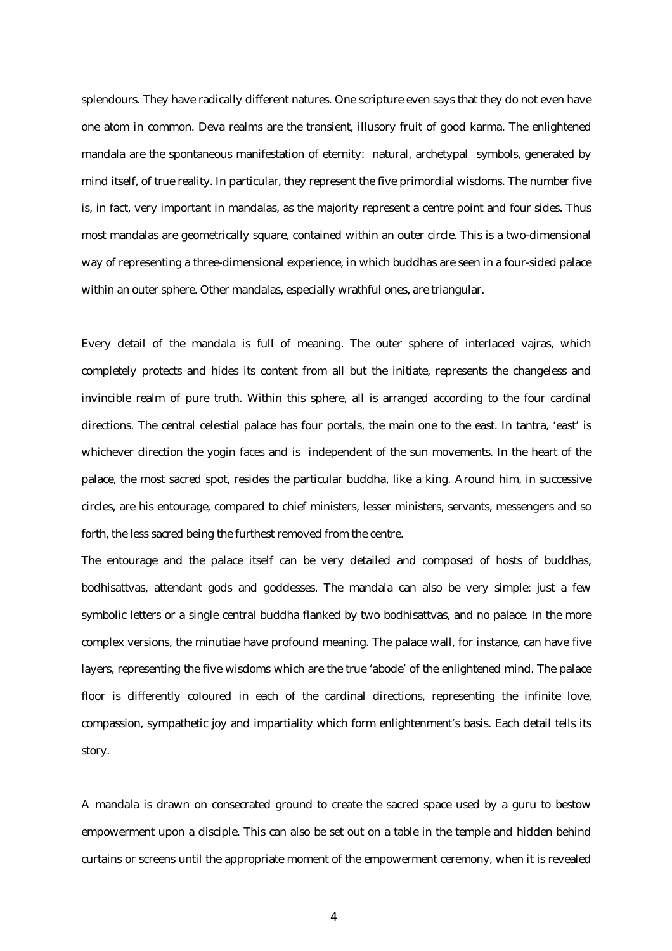splendours. They have radically different natures. One scripture even says that they do not even have one atom in common. Deva realms are the transient, illusory fruit of good karma. The enlightened mandala are the spontaneous manifestation of eternity: natural, archetypal symbols, generated by mind itself, of true reality. In particular, they represent the five primordial wisdoms. The number five is, in fact, very important in mandalas, as the majority represent a centre point and four sides. Thus most mandalas are geometrically square, contained within an outer circle. This is a two-dimensional way of representing a three-dimensional experience, in which buddhas are seen in a four-sided palace within an outer sphere. Other mandalas, especially wrathful ones, are triangular.

Every detail of the mandala is full of meaning. The outer sphere of interlaced vajras, which completely protects and hides its content from all but the initiate, represents the changeless and invincible realm of pure truth. Within this sphere, all is arranged according to the four cardinal directions. The central celestial palace has four portals, the main one to the east. In tantra, 'east' is whichever direction the yogin faces and is independent of the sun movements. In the heart of the palace, the most sacred spot, resides the particular buddha, like a king. Around him, in successive circles, are his entourage, compared to chief ministers, lesser ministers, servants, messengers and so forth, the less sacred being the furthest removed from the centre.

The entourage and the palace itself can be very detailed and composed of hosts of buddhas, bodhisattvas, attendant gods and goddesses. The mandala can also be very simple: just a few symbolic letters or a single central buddha flanked by two bodhisattvas, and no palace. In the more complex versions, the minutiae have profound meaning. The palace wall, for instance, can have five layers, representing the five wisdoms which are the true 'abode' of the enlightened mind. The palace floor is differently coloured in each of the cardinal directions, representing the infinite love, compassion, sympathetic joy and impartiality which form enlightenment's basis. Each detail tells its story.

A mandala is drawn on consecrated ground to create the sacred space used by a guru to bestow empowerment upon a disciple. This can also be set out on a table in the temple and hidden behind curtains or screens until the appropriate moment of the empowerment ceremony, when it is revealed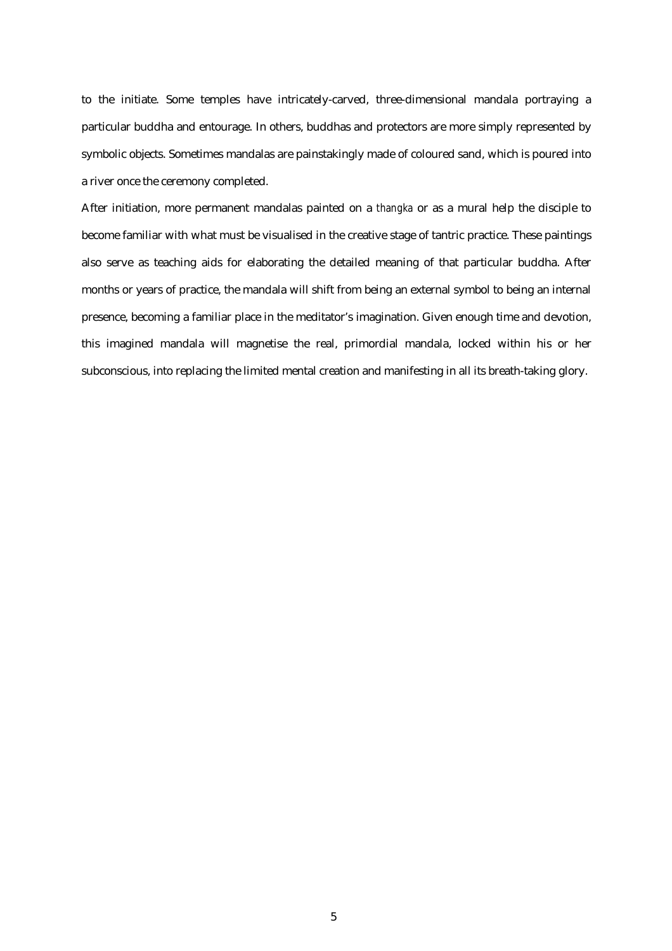to the initiate. Some temples have intricately-carved, three-dimensional mandala portraying a particular buddha and entourage. In others, buddhas and protectors are more simply represented by symbolic objects. Sometimes mandalas are painstakingly made of coloured sand, which is poured into a river once the ceremony completed.

After initiation, more permanent mandalas painted on a *thangka* or as a mural help the disciple to become familiar with what must be visualised in the creative stage of tantric practice. These paintings also serve as teaching aids for elaborating the detailed meaning of that particular buddha. After months or years of practice, the mandala will shift from being an external symbol to being an internal presence, becoming a familiar place in the meditator's imagination. Given enough time and devotion, this imagined mandala will magnetise the real, primordial mandala, locked within his or her subconscious, into replacing the limited mental creation and manifesting in all its breath-taking glory.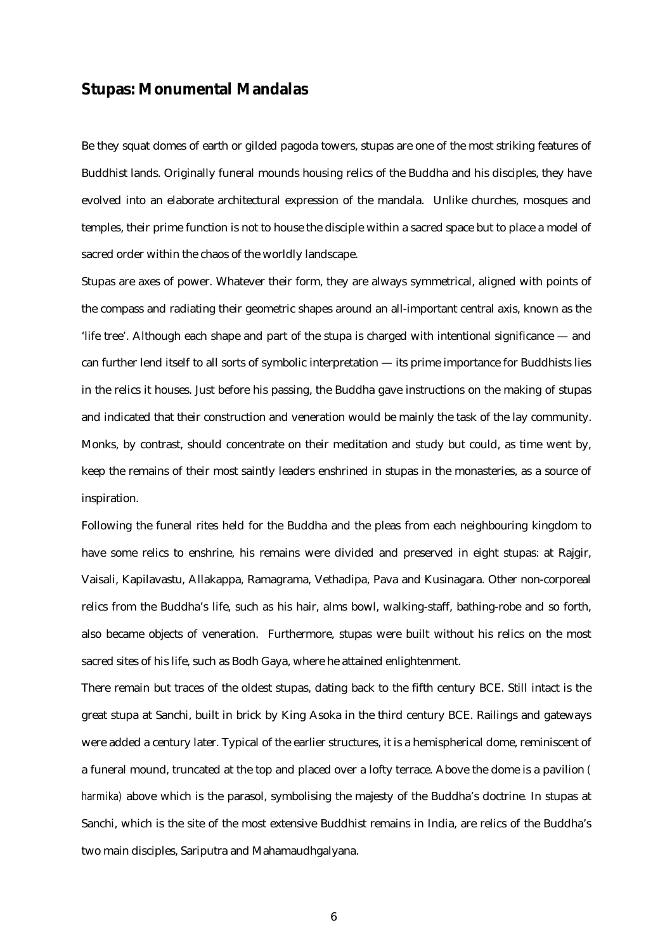## **Stupas: Monumental Mandalas**

Be they squat domes of earth or gilded pagoda towers, stupas are one of the most striking features of Buddhist lands. Originally funeral mounds housing relics of the Buddha and his disciples, they have evolved into an elaborate architectural expression of the mandala. Unlike churches, mosques and temples, their prime function is not to house the disciple within a sacred space but to place a model of sacred order within the chaos of the worldly landscape.

Stupas are axes of power. Whatever their form, they are always symmetrical, aligned with points of the compass and radiating their geometric shapes around an all-important central axis, known as the 'life tree'. Although each shape and part of the stupa is charged with intentional significance — and can further lend itself to all sorts of symbolic interpretation — its prime importance for Buddhists lies in the relics it houses. Just before his passing, the Buddha gave instructions on the making of stupas and indicated that their construction and veneration would be mainly the task of the lay community. Monks, by contrast, should concentrate on their meditation and study but could, as time went by, keep the remains of their most saintly leaders enshrined in stupas in the monasteries, as a source of inspiration.

Following the funeral rites held for the Buddha and the pleas from each neighbouring kingdom to have some relics to enshrine, his remains were divided and preserved in eight stupas: at Rajgir, Vaisali, Kapilavastu, Allakappa, Ramagrama, Vethadipa, Pava and Kusinagara. Other non-corporeal relics from the Buddha's life, such as his hair, alms bowl, walking-staff, bathing-robe and so forth, also became objects of veneration. Furthermore, stupas were built without his relics on the most sacred sites of his life, such as Bodh Gaya, where he attained enlightenment.

There remain but traces of the oldest stupas, dating back to the fifth century BCE. Still intact is the great stupa at Sanchi, built in brick by King Asoka in the third century BCE. Railings and gateways were added a century later. Typical of the earlier structures, it is a hemispherical dome, reminiscent of a funeral mound, truncated at the top and placed over a lofty terrace. Above the dome is a pavilion *( harmika)* above which is the parasol, symbolising the majesty of the Buddha's doctrine*.* In stupas at Sanchi, which is the site of the most extensive Buddhist remains in India, are relics of the Buddha's two main disciples, Sariputra and Mahamaudhgalyana.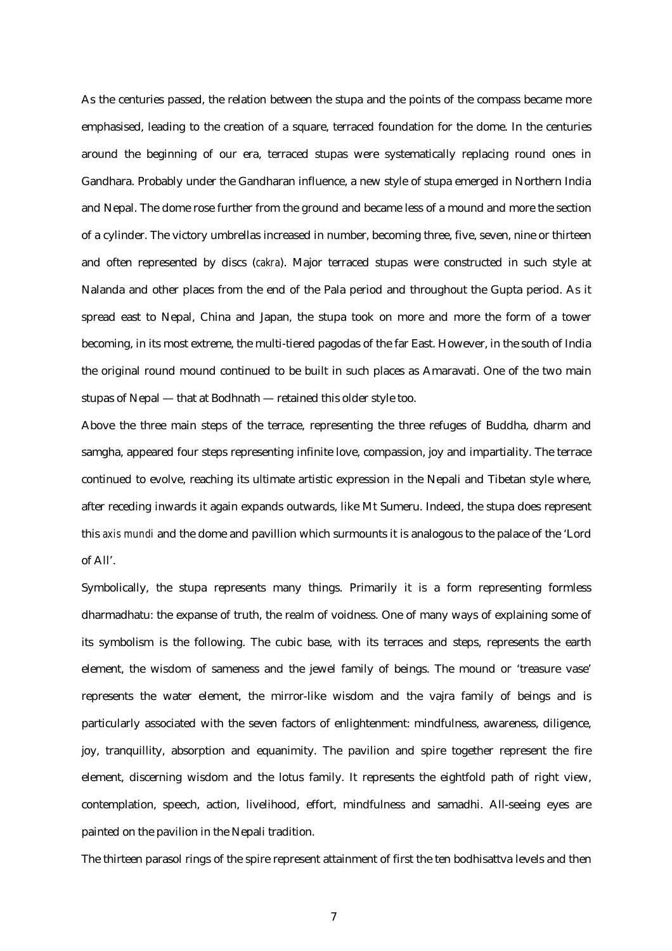As the centuries passed, the relation between the stupa and the points of the compass became more emphasised, leading to the creation of a square, terraced foundation for the dome. In the centuries around the beginning of our era, terraced stupas were systematically replacing round ones in Gandhara. Probably under the Gandharan influence, a new style of stupa emerged in Northern India and Nepal. The dome rose further from the ground and became less of a mound and more the section of a cylinder. The victory umbrellas increased in number, becoming three, five, seven, nine or thirteen and often represented by discs (*cakra*). Major terraced stupas were constructed in such style at Nalanda and other places from the end of the Pala period and throughout the Gupta period. As it spread east to Nepal, China and Japan, the stupa took on more and more the form of a tower becoming, in its most extreme, the multi-tiered pagodas of the far East. However, in the south of India the original round mound continued to be built in such places as Amaravati. One of the two main stupas of Nepal — that at Bodhnath — retained this older style too.

Above the three main steps of the terrace, representing the three refuges of Buddha, dharm and samgha, appeared four steps representing infinite love, compassion, joy and impartiality. The terrace continued to evolve, reaching its ultimate artistic expression in the Nepali and Tibetan style where, after receding inwards it again expands outwards, like Mt Sumeru. Indeed, the stupa does represent this *axis mundi* and the dome and pavillion which surmounts it is analogous to the palace of the 'Lord of All'.

Symbolically, the stupa represents many things. Primarily it is a form representing formless dharmadhatu: the expanse of truth, the realm of voidness. One of many ways of explaining some of its symbolism is the following. The cubic base, with its terraces and steps, represents the earth element, the wisdom of sameness and the jewel family of beings. The mound or 'treasure vase' represents the water element, the mirror-like wisdom and the vajra family of beings and is particularly associated with the seven factors of enlightenment: mindfulness, awareness, diligence, joy, tranquillity, absorption and equanimity. The pavilion and spire together represent the fire element, discerning wisdom and the lotus family. It represents the eightfold path of right view, contemplation, speech, action, livelihood, effort, mindfulness and samadhi. All-seeing eyes are painted on the pavilion in the Nepali tradition.

The thirteen parasol rings of the spire represent attainment of first the ten bodhisattva levels and then